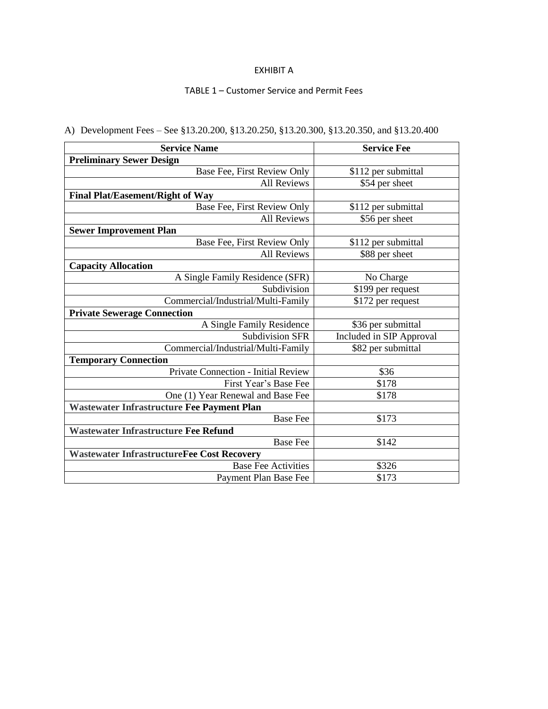## EXHIBIT A

## TABLE 1 – Customer Service and Permit Fees

| <b>Service Name</b>                               | <b>Service Fee</b>       |
|---------------------------------------------------|--------------------------|
| <b>Preliminary Sewer Design</b>                   |                          |
| Base Fee, First Review Only                       | \$112 per submittal      |
| <b>All Reviews</b>                                | \$54 per sheet           |
| Final Plat/Easement/Right of Way                  |                          |
| Base Fee, First Review Only                       | \$112 per submittal      |
| <b>All Reviews</b>                                | \$56 per sheet           |
| <b>Sewer Improvement Plan</b>                     |                          |
| Base Fee, First Review Only                       | \$112 per submittal      |
| <b>All Reviews</b>                                | \$88 per sheet           |
| <b>Capacity Allocation</b>                        |                          |
| A Single Family Residence (SFR)                   | No Charge                |
| Subdivision                                       | \$199 per request        |
| Commercial/Industrial/Multi-Family                | \$172 per request        |
| <b>Private Sewerage Connection</b>                |                          |
| A Single Family Residence                         | \$36 per submittal       |
| <b>Subdivision SFR</b>                            | Included in SIP Approval |
| Commercial/Industrial/Multi-Family                | \$82 per submittal       |
| <b>Temporary Connection</b>                       |                          |
| Private Connection - Initial Review               | \$36                     |
| First Year's Base Fee                             | \$178                    |
| One (1) Year Renewal and Base Fee                 | \$178                    |
| Wastewater Infrastructure Fee Payment Plan        |                          |
| <b>Base Fee</b>                                   | \$173                    |
| <b>Wastewater Infrastructure Fee Refund</b>       |                          |
| <b>Base Fee</b>                                   | \$142                    |
| <b>Wastewater InfrastructureFee Cost Recovery</b> |                          |
| <b>Base Fee Activities</b>                        | \$326                    |
| Payment Plan Base Fee                             | \$173                    |

## A) Development Fees – See §13.20.200, §13.20.250, §13.20.300, §13.20.350, and §13.20.400